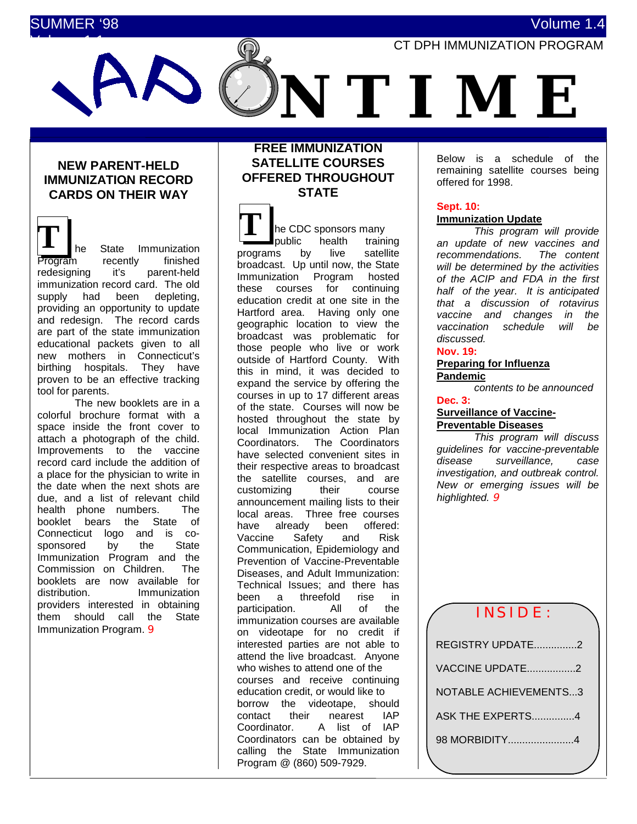# SUMMER '98 Volume 1.4



# **NEW PARENT-HELD IMMUNIZATION RECORD CARDS ON THEIR WAY**

 $\mathbf{T}$   $\left| \begin{array}{ccc} 1 \\ 1 \end{array} \right|$  **T**  $\left| \begin{array}{ccc} 1 \\ 1 \end{array} \right|$  he State Immunization Program recently finished redesigning it's parent-held immunization record card. The old supply had been depleting, providing an opportunity to update and redesign. The record cards are part of the state immunization educational packets given to all new mothers in Connecticut's birthing hospitals. They have proven to be an effective tracking tool for parents.

The new booklets are in a colorful brochure format with a space inside the front cover to attach a photograph of the child. Improvements to the vaccine record card include the addition of a place for the physician to write in the date when the next shots are due, and a list of relevant child health phone numbers. The booklet bears the State of Connecticut logo and is cosponsored by the State Immunization Program and the Commission on Children. The booklets are now available for distribution. Immunization providers interested in obtaining them should call the State Immunization Program. 9

# **FREE IMMUNIZATION SATELLITE COURSES OFFERED THROUGHOUT STATE**

he CDC sponsors many public health training programs by live satellite broadcast. Up until now, the State Immunization Program hosted these courses for continuing education credit at one site in the Hartford area. Having only one geographic location to view the broadcast was problematic for those people who live or work outside of Hartford County. With this in mind, it was decided to expand the service by offering the courses in up to 17 different areas of the state. Courses will now be hosted throughout the state by local Immunization Action Plan Coordinators. The Coordinators have selected convenient sites in their respective areas to broadcast the satellite courses, and are customizing their course announcement mailing lists to their local areas. Three free courses have already been offered: Vaccine Safety and Risk Communication, Epidemiology and Prevention of Vaccine-Preventable Diseases, and Adult Immunization: Technical Issues; and there has been a threefold rise in<br>narticination. All of the participation. All of immunization courses are available on videotape for no credit if interested parties are not able to attend the live broadcast. Anyone who wishes to attend one of the courses and receive continuing education credit, or would like to borrow the videotape, should contact their nearest IAP Coordinator. A list of IAP Coordinators can be obtained by calling the State Immunization Program @ (860) 509-7929.

Below is a schedule of the remaining satellite courses being offered for 1998.

# **Sept. 10:**

# **Immunization Update**

*This program will provide an update of new vaccines and recommendations. The content will be determined by the activities of the ACIP and FDA in the first half of the year. It is anticipated that a discussion of rotavirus vaccine and changes in the vaccination schedule will be discussed.*

# **Nov. 19:**

#### **Preparing for Influenza Pandemic**

*contents to be announced*

#### **Dec. 3: Surveillance of Vaccine-**

# **Preventable Diseases**

*This program will discuss guidelines for vaccine-preventable disease surveillance, case investigation, and outbreak control. New or emerging issues will be highlighted.* 9

# INSIDE:

| REGISTRY UPDATE2             |  |
|------------------------------|--|
| VACCINE UPDATE2              |  |
| <b>NOTABLE ACHIEVEMENTS3</b> |  |
| ASK THE EXPERTS4             |  |
| 98 MORBIDITY4                |  |
|                              |  |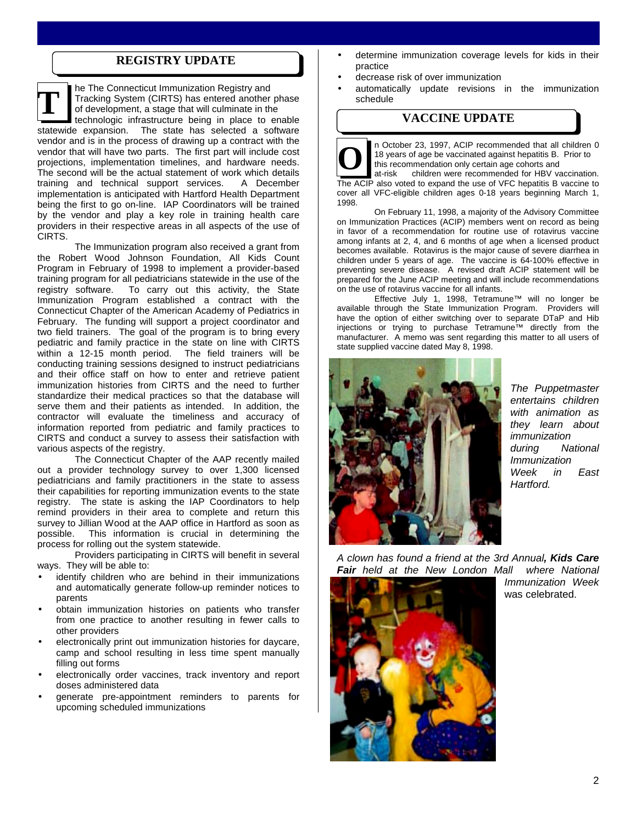# **REGISTRY UPDATE**

he The Connecticut Immunization Registry and Tracking System (CIRTS) has entered another phase of development, a stage that will culminate in the technologic infrastructure being in place to enable statewide expansion. The state has selected a software vendor and is in the process of drawing up a contract with the vendor that will have two parts. The first part will include cost projections, implementation timelines, and hardware needs. The second will be the actual statement of work which details training and technical support services. A December implementation is anticipated with Hartford Health Department being the first to go on-line. IAP Coordinators will be trained by the vendor and play a key role in training health care providers in their respective areas in all aspects of the use of CIRTS. **T**

The Immunization program also received a grant from the Robert Wood Johnson Foundation, All Kids Count Program in February of 1998 to implement a provider-based training program for all pediatricians statewide in the use of the registry software. To carry out this activity, the State Immunization Program established a contract with the Connecticut Chapter of the American Academy of Pediatrics in February. The funding will support a project coordinator and two field trainers. The goal of the program is to bring every pediatric and family practice in the state on line with CIRTS within a 12-15 month period. The field trainers will be conducting training sessions designed to instruct pediatricians and their office staff on how to enter and retrieve patient immunization histories from CIRTS and the need to further standardize their medical practices so that the database will serve them and their patients as intended. In addition, the contractor will evaluate the timeliness and accuracy of information reported from pediatric and family practices to CIRTS and conduct a survey to assess their satisfaction with various aspects of the registry.

The Connecticut Chapter of the AAP recently mailed out a provider technology survey to over 1,300 licensed pediatricians and family practitioners in the state to assess their capabilities for reporting immunization events to the state registry. The state is asking the IAP Coordinators to help remind providers in their area to complete and return this survey to Jillian Wood at the AAP office in Hartford as soon as possible. This information is crucial in determining the process for rolling out the system statewide.

Providers participating in CIRTS will benefit in several ways. They will be able to:

- identify children who are behind in their immunizations and automatically generate follow-up reminder notices to parents
- obtain immunization histories on patients who transfer from one practice to another resulting in fewer calls to other providers
- electronically print out immunization histories for daycare, camp and school resulting in less time spent manually filling out forms
- electronically order vaccines, track inventory and report doses administered data
- generate pre-appointment reminders to parents for upcoming scheduled immunizations
- determine immunization coverage levels for kids in their practice
- decrease risk of over immunization
- automatically update revisions in the immunization schedule

# **VACCINE UPDATE**

n October 23, 1997, ACIP recommended that all children 0 18 years of age be vaccinated against hepatitis B. Prior to this recommendation only certain age cohorts and

at-risk children were recommended for HBV vaccination. The ACIP also voted to expand the use of VFC hepatitis B vaccine to cover all VFC-eligible children ages 0-18 years beginning March 1, 1998. **O**

On February 11, 1998, a majority of the Advisory Committee on Immunization Practices (ACIP) members went on record as being in favor of a recommendation for routine use of rotavirus vaccine among infants at 2, 4, and 6 months of age when a licensed product becomes available. Rotavirus is the major cause of severe diarrhea in children under 5 years of age. The vaccine is 64-100% effective in preventing severe disease. A revised draft ACIP statement will be prepared for the June ACIP meeting and will include recommendations on the use of rotavirus vaccine for all infants.

Effective July 1, 1998, Tetramune™ will no longer be available through the State Immunization Program. Providers will have the option of either switching over to separate DTaP and Hib injections or trying to purchase Tetramune™ directly from the manufacturer. A memo was sent regarding this matter to all users of state supplied vaccine dated May 8, 1998.



*The Puppetmaster entertains children with animation as they learn about immunization during National Immunization Week in East Hartford.*

*A clown has found a friend at the 3rd Annual, Kids Care Fair held at the New London Mall where National*



*Immunization Week* was celebrated.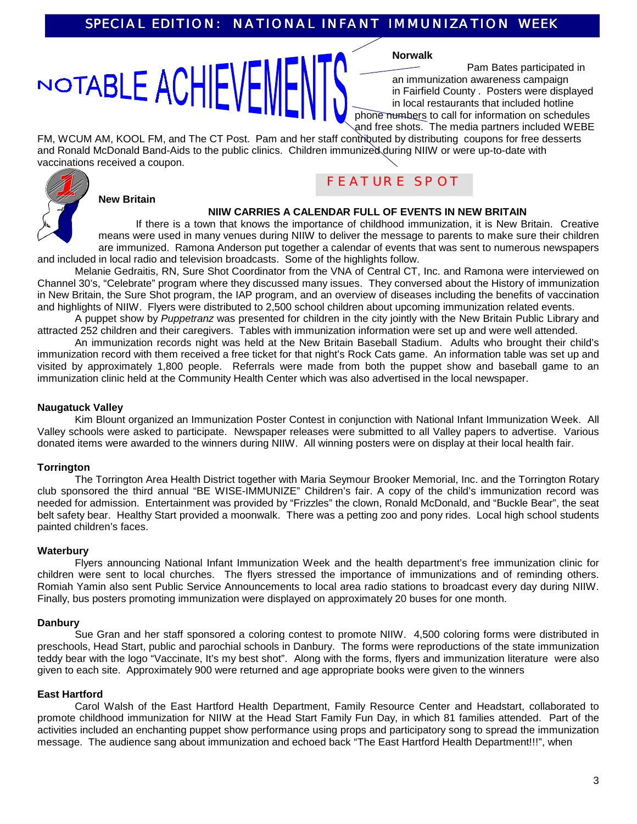# NOTABLE ACHIEVE

**Norwalk**

Pam Bates participated in an immunization awareness campaign in Fairfield County . Posters were displayed in local restaurants that included hotline phone numbers to call for information on schedules and free shots. The media partners included WEBE

FM, WCUM AM, KOOL FM, and The CT Post. Pam and her staff contributed by distributing coupons for free desserts and Ronald McDonald Band-Aids to the public clinics. Children immunized during NIIW or were up-to-date with vaccinations received a coupon.



# **New Britain**

# **NIIW CARRIES A CALENDAR FULL OF EVENTS IN NEW BRITAIN**

FEATURE SPOT

If there is a town that knows the importance of childhood immunization, it is New Britain. Creative means were used in many venues during NIIW to deliver the message to parents to make sure their children are immunized. Ramona Anderson put together a calendar of events that was sent to numerous newspapers and included in local radio and television broadcasts. Some of the highlights follow.

Melanie Gedraitis, RN, Sure Shot Coordinator from the VNA of Central CT, Inc. and Ramona were interviewed on Channel 30's, "Celebrate" program where they discussed many issues. They conversed about the History of immunization in New Britain, the Sure Shot program, the IAP program, and an overview of diseases including the benefits of vaccination and highlights of NIIW. Flyers were distributed to 2,500 school children about upcoming immunization related events.

A puppet show by *Puppetranz* was presented for children in the city jointly with the New Britain Public Library and attracted 252 children and their caregivers. Tables with immunization information were set up and were well attended.

An immunization records night was held at the New Britain Baseball Stadium. Adults who brought their child's immunization record with them received a free ticket for that night's Rock Cats game. An information table was set up and visited by approximately 1,800 people. Referrals were made from both the puppet show and baseball game to an immunization clinic held at the Community Health Center which was also advertised in the local newspaper.

# **Naugatuck Valley**

Kim Blount organized an Immunization Poster Contest in conjunction with National Infant Immunization Week. All Valley schools were asked to participate. Newspaper releases were submitted to all Valley papers to advertise. Various donated items were awarded to the winners during NIIW. All winning posters were on display at their local health fair.

# **Torrington**

The Torrington Area Health District together with Maria Seymour Brooker Memorial, Inc. and the Torrington Rotary club sponsored the third annual "BE WISE-IMMUNIZE" Children's fair. A copy of the child's immunization record was needed for admission. Entertainment was provided by "Frizzles" the clown, Ronald McDonald, and "Buckle Bear", the seat belt safety bear. Healthy Start provided a moonwalk. There was a petting zoo and pony rides. Local high school students painted children's faces.

#### **Waterbury**

Flyers announcing National Infant Immunization Week and the health department's free immunization clinic for children were sent to local churches. The flyers stressed the importance of immunizations and of reminding others. Romiah Yamin also sent Public Service Announcements to local area radio stations to broadcast every day during NIIW. Finally, bus posters promoting immunization were displayed on approximately 20 buses for one month.

#### **Danbury**

Sue Gran and her staff sponsored a coloring contest to promote NIIW. 4,500 coloring forms were distributed in preschools, Head Start, public and parochial schools in Danbury. The forms were reproductions of the state immunization teddy bear with the logo "Vaccinate, It's my best shot". Along with the forms, flyers and immunization literature were also given to each site. Approximately 900 were returned and age appropriate books were given to the winners

# **East Hartford**

Carol Walsh of the East Hartford Health Department, Family Resource Center and Headstart, collaborated to promote childhood immunization for NIIW at the Head Start Family Fun Day, in which 81 families attended. Part of the activities included an enchanting puppet show performance using props and participatory song to spread the immunization message. The audience sang about immunization and echoed back "The East Hartford Health Department!!!", when